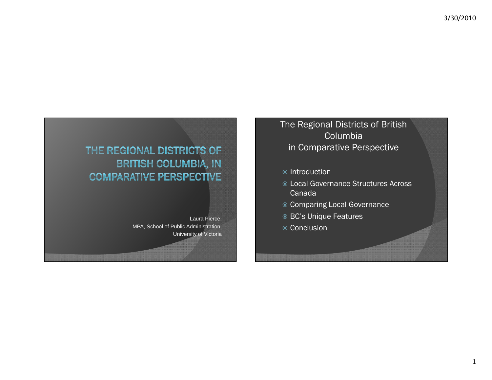## THE REGIONAL DISTRICTS OF **BRITISH COLUMBIA, IN COMPARATIVE PERSPECTIVE**

Laura Pierce, MPA, School of Public Administration, University of Victoria The Regional Districts of British Columbia in Comparative Perspective

● Introduction

- Local Governance Structures Across Canada
- Comparing Local Governance
- BC's Unique Features
- **◎ Conclusion**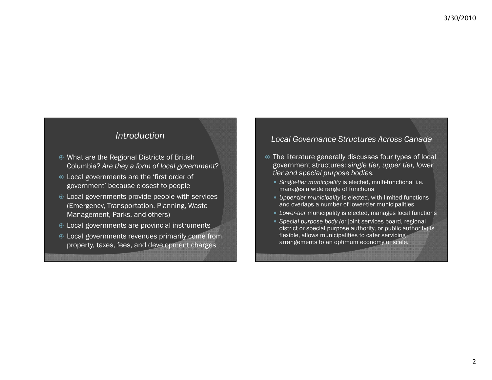#### *Introduction*

- What are the Regional Districts of British Columbia? *Are they a form of local government* ?
- Local governments are the 'first order of government' because closest to people
- Local governments provide people with services (Emergency, Transportation, Planning, Waste Management, Parks, and others)
- Local governments are provincial instruments
- Local governments revenues primarily come from property, taxes, fees, and development charges

#### *Local Governance Structures Across Canada*

- The literature generally discusses four types of local government structures: *single tier upper tier lower tier, tier, tier and special purpose bodies.*
	- *Single-tier municipality* is elected, multi-functional i.e. manages a wide range of functions
	- *Upper-tier municipality* is elected, with limited functions and overlaps a number of lower-tier municipalities
	- Lower-tier municipality is elected, manages local functions
	- *Special purpose body (*or joint services board, regional district or special purpose authority, or public authority) is flexible, allows municipalities to cater servicing arrangements to an optimum economy of scale.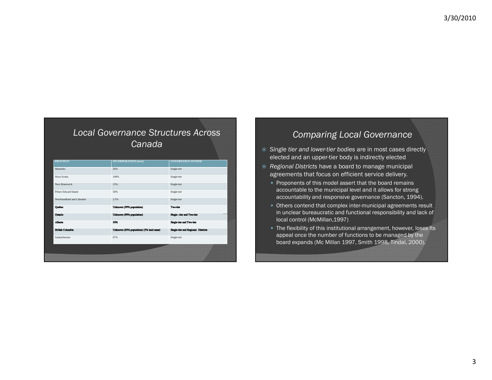### *Local Governance Structures Across Canada*

| <b>PROVINCE</b>           | <b>INCORPORATION</b> (area)             | <b>GOVERNANCE SYSTEM</b>                  |
|---------------------------|-----------------------------------------|-------------------------------------------|
| Manitoba                  | 20%                                     | Single-tier                               |
| Nova Scotia               | 100%                                    | Single-tier                               |
| New Brunswick             | 15%                                     | Single-tier                               |
| Prince Edward Island      | 50%                                     | Single-tier                               |
| Newfoundland and Labrador | 2.5%                                    | Single-tier                               |
| Quebec                    | Unknown (99% population)                | Two-tier                                  |
| Ontario                   | Unknown (99% population)                | Single-tier and Two-tier                  |
| Alberta                   | 50%                                     | Single tier and Two-tier                  |
| <b>British Columbia</b>   | Unknown (85% population) (5% land mass) | <b>Single-tier and Regional Districts</b> |
| Saskatchewan              | 67%                                     | Single-tier                               |
|                           |                                         |                                           |
|                           |                                         |                                           |
|                           |                                         |                                           |

#### *Comparing Local Governance*

- *Single tier and lower-tier bodies* are in most cases directly elected and an upper-tier body is indirectly elected
- *Regional Districts* have a board to manage municipal agreements that focus on efficient service delivery.
	- Proponents of this model assert that the board remains accountable to the municipal level and it allows for strong accountability and responsive governance (Sancton, 1994).
	- Others contend that complex inter-municipal agreements result in unclear bureaucratic and functional responsibility and lack of local control (McMillan,1997)
	- The flexibility of this institutional arrangement, however, loses its appeal once the number of functions to be managed by the board expands (Mc Millan 1997, Smith 1998, Tindal, 2000).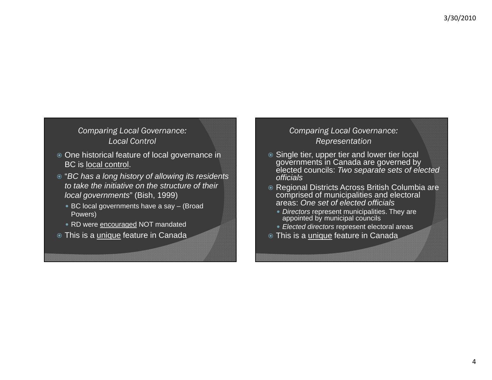#### *Comparing Local Governance: Local Control*

- One historical feature of local governance in BC is local control.
- "*BC has a long history of allowing its residents to take the initiative on the structure of their local governments*" (Bish, 1999)
	- BC local governments have a say (Broad Powers)
	- RD were **encouraged NOT** mandated
- ◉ This is a <u>unique</u> feature in Canada

#### *Comparing Local Governance: Representation*

- **Single tier, upper tier and lower tier local** governments in Canada are governed by elected councils: *Two separate sets of elected officials*
- Regional Districts Across British Columbia are comprised of municipalities and electoral areas: *One set of elected officials*
	- *Directors* represent municipalities. They are appointed by municipal councils
	- *Elected directors* represent electoral areas
- ◉ This is a <u>unique</u> feature in Canada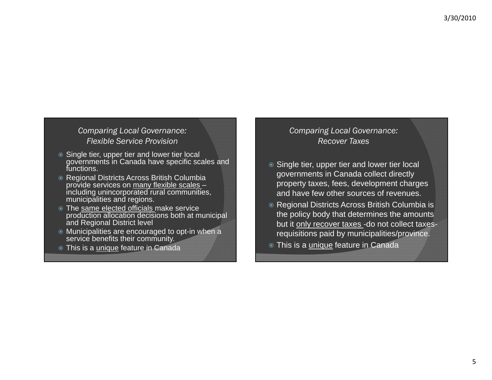#### *Comparing Local Governance: Flexible Service Provision*

- **Single tier, upper tier and lower tier local** governments in Canada have specific scales and functions.
- Regional Districts Across British Columbia provide services on many flexible scales – including unincorporated rural communities, municipalities and regions.
- The same elected officials make service production allocation decisions both at municipal and Regional District level
- Municipalities are encouraged to opt-in when a service benefits their community.
- ◉ This is a <u>unique</u> feature in Canada

#### *Comparing Local Governance: Recover Taxes*

- $\circ$  Single tier, upper tier and lower tier local governments in Canada collect directly property taxes, fees, development charges and have few other sources of revenues.
- Regional Districts Across British Columbia is the policy body that determines the amounts but it only recover taxes -do not collect taxesrequisitions paid by municipalities/province.
- ◉ This is a <u>unique</u> feature in Canada